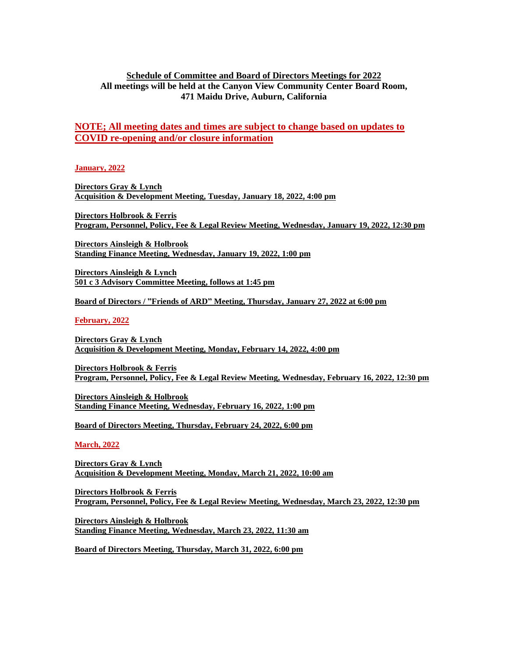## **Schedule of Committee and Board of Directors Meetings for 2022 All meetings will be held at the Canyon View Community Center Board Room, 471 Maidu Drive, Auburn, California**

## **NOTE; All meeting dates and times are subject to change based on updates to COVID re-opening and/or closure information**

**January, 2022**

**Directors Gray & Lynch Acquisition & Development Meeting, Tuesday, January 18, 2022, 4:00 pm**

**Directors Holbrook & Ferris Program, Personnel, Policy, Fee & Legal Review Meeting, Wednesday, January 19, 2022, 12:30 pm**

**Directors Ainsleigh & Holbrook Standing Finance Meeting, Wednesday, January 19, 2022, 1:00 pm**

**Directors Ainsleigh & Lynch 501 c 3 Advisory Committee Meeting, follows at 1:45 pm**

**Board of Directors / "Friends of ARD" Meeting, Thursday, January 27, 2022 at 6:00 pm**

**February, 2022**

**Directors Gray & Lynch Acquisition & Development Meeting, Monday, February 14, 2022, 4:00 pm**

**Directors Holbrook & Ferris Program, Personnel, Policy, Fee & Legal Review Meeting, Wednesday, February 16, 2022, 12:30 pm**

**Directors Ainsleigh & Holbrook Standing Finance Meeting, Wednesday, February 16, 2022, 1:00 pm**

**Board of Directors Meeting, Thursday, February 24, 2022, 6:00 pm**

**March, 2022**

**Directors Gray & Lynch Acquisition & Development Meeting, Monday, March 21, 2022, 10:00 am**

**Directors Holbrook & Ferris Program, Personnel, Policy, Fee & Legal Review Meeting, Wednesday, March 23, 2022, 12:30 pm**

**Directors Ainsleigh & Holbrook Standing Finance Meeting, Wednesday, March 23, 2022, 11:30 am**

**Board of Directors Meeting, Thursday, March 31, 2022, 6:00 pm**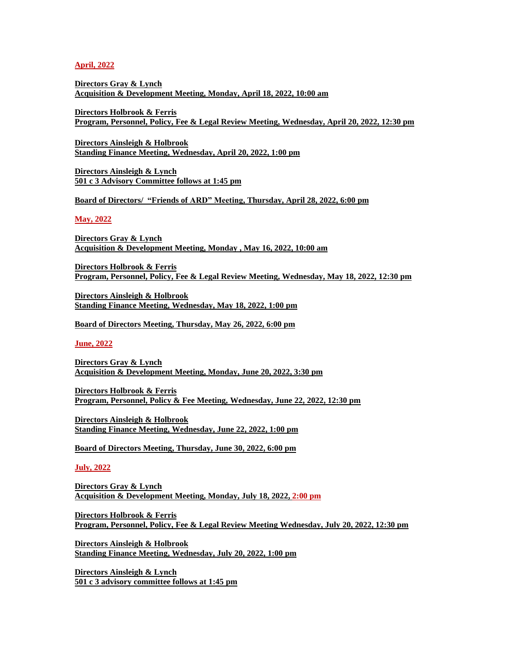**April, 2022**

**Directors Gray & Lynch Acquisition & Development Meeting, Monday, April 18, 2022, 10:00 am**

**Directors Holbrook & Ferris Program, Personnel, Policy, Fee & Legal Review Meeting, Wednesday, April 20, 2022, 12:30 pm**

**Directors Ainsleigh & Holbrook Standing Finance Meeting, Wednesday, April 20, 2022, 1:00 pm**

**Directors Ainsleigh & Lynch 501 c 3 Advisory Committee follows at 1:45 pm**

**Board of Directors/ "Friends of ARD" Meeting, Thursday, April 28, 2022, 6:00 pm**

**May, 2022**

**Directors Gray & Lynch Acquisition & Development Meeting, Monday , May 16, 2022, 10:00 am**

**Directors Holbrook & Ferris Program, Personnel, Policy, Fee & Legal Review Meeting, Wednesday, May 18, 2022, 12:30 pm**

**Directors Ainsleigh & Holbrook Standing Finance Meeting, Wednesday, May 18, 2022, 1:00 pm**

**Board of Directors Meeting, Thursday, May 26, 2022, 6:00 pm**

**June, 2022**

**Directors Gray & Lynch Acquisition & Development Meeting, Monday, June 20, 2022, 3:30 pm**

**Directors Holbrook & Ferris Program, Personnel, Policy & Fee Meeting, Wednesday, June 22, 2022, 12:30 pm** 

**Directors Ainsleigh & Holbrook Standing Finance Meeting, Wednesday, June 22, 2022, 1:00 pm**

**Board of Directors Meeting, Thursday, June 30, 2022, 6:00 pm**

**July, 2022**

**Directors Gray & Lynch Acquisition & Development Meeting, Monday, July 18, 2022, 2:00 pm**

**Directors Holbrook & Ferris Program, Personnel, Policy, Fee & Legal Review Meeting Wednesday, July 20, 2022, 12:30 pm**

**Directors Ainsleigh & Holbrook Standing Finance Meeting, Wednesday, July 20, 2022, 1:00 pm**

**Directors Ainsleigh & Lynch 501 c 3 advisory committee follows at 1:45 pm**